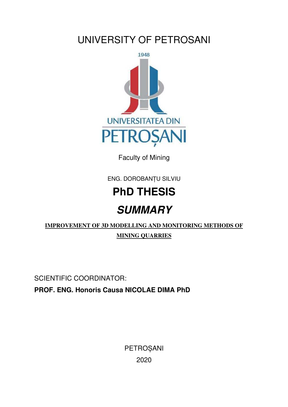## UNIVERSITY OF PETROSANI



Faculty of Mining

ENG. DOROBANȚU SILVIU

# **PhD THESIS SUMMARY**

### **IMPROVEMENT OF 3D MODELLING AND MONITORING METHODS OF MINING QUARRIES**

SCIENTIFIC COORDINATOR: **PROF. ENG. Honoris Causa NICOLAE DIMA PhD** 

> PETROȘANI 2020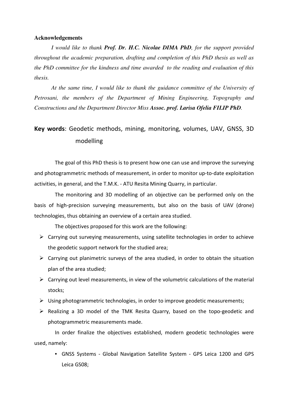#### **Acknowledgements**

*I would like to thank Prof. Dr. H.C. Nicolae DIMA PhD, for the support provided throughout the academic preparation, drafting and completion of this PhD thesis as well as the PhD committee for the kindness and time awarded to the reading and evaluation of this thesis.* 

*At the same time, I would like to thank the guidance committee of the University of Petrosani, the members of the Department of Mining Engineering, Topography and Constructions and the Department Director Miss Assoc. prof. Larisa Ofelia FILIP PhD.* 

#### **Key words**: Geodetic methods, mining, monitoring, volumes, UAV, GNSS, 3D modelling

The goal of this PhD thesis is to present how one can use and improve the surveying and photogrammetric methods of measurement, in order to monitor up-to-date exploitation activities, in general, and the T.M.K. - ATU Resita Mining Quarry, in particular.

The monitoring and 3D modelling of an objective can be performed only on the basis of high-precision surveying measurements, but also on the basis of UAV (drone) technologies, thus obtaining an overview of a certain area studied.

The objectives proposed for this work are the following:

- $\triangleright$  Carrying out surveying measurements, using satellite technologies in order to achieve the geodetic support network for the studied area;
- $\triangleright$  Carrying out planimetric surveys of the area studied, in order to obtain the situation plan of the area studied;
- $\triangleright$  Carrying out level measurements, in view of the volumetric calculations of the material stocks;
- $\triangleright$  Using photogrammetric technologies, in order to improve geodetic measurements;
- Realizing a 3D model of the TMK Resita Quarry, based on the topo-geodetic and photogrammetric measurements made.

In order finalize the objectives established, modern geodetic technologies were used, namely:

• GNSS Systems - Global Navigation Satellite System - GPS Leica 1200 and GPS Leica GS08;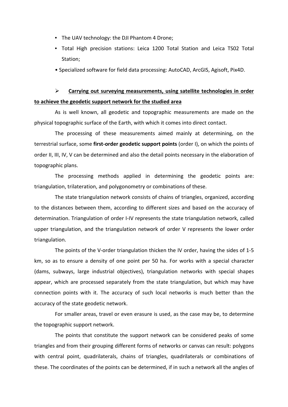- The UAV technology: the DJI Phantom 4 Drone;
- Total High precision stations: Leica 1200 Total Station and Leica TS02 Total Station;
- Specialized software for field data processing: AutoCAD, ArcGIS, Agisoft, Pix4D.

#### **Carrying out surveying measurements, using satellite technologies in order to achieve the geodetic support network for the studied area**

As is well known, all geodetic and topographic measurements are made on the physical topographic surface of the Earth, with which it comes into direct contact.

The processing of these measurements aimed mainly at determining, on the terrestrial surface, some **first-order geodetic support points** (order I), on which the points of order II, III, IV, V can be determined and also the detail points necessary in the elaboration of topographic plans.

The processing methods applied in determining the geodetic points are: triangulation, trilateration, and polygonometry or combinations of these.

The state triangulation network consists of chains of triangles, organized, according to the distances between them, according to different sizes and based on the accuracy of determination. Triangulation of order I-IV represents the state triangulation network, called upper triangulation, and the triangulation network of order V represents the lower order triangulation.

The points of the V-order triangulation thicken the IV order, having the sides of 1-5 km, so as to ensure a density of one point per 50 ha. For works with a special character (dams, subways, large industrial objectives), triangulation networks with special shapes appear, which are processed separately from the state triangulation, but which may have connection points with it. The accuracy of such local networks is much better than the accuracy of the state geodetic network.

For smaller areas, travel or even erasure is used, as the case may be, to determine the topographic support network.

The points that constitute the support network can be considered peaks of some triangles and from their grouping different forms of networks or canvas can result: polygons with central point, quadrilaterals, chains of triangles, quadrilaterals or combinations of these. The coordinates of the points can be determined, if in such a network all the angles of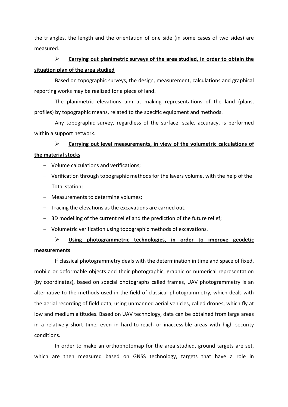the triangles, the length and the orientation of one side (in some cases of two sides) are measured.

#### **Carrying out planimetric surveys of the area studied, in order to obtain the situation plan of the area studied**

Based on topographic surveys, the design, measurement, calculations and graphical reporting works may be realized for a piece of land.

The planimetric elevations aim at making representations of the land (plans, profiles) by topographic means, related to the specific equipment and methods.

Any topographic survey, regardless of the surface, scale, accuracy, is performed within a support network.

#### **Carrying out level measurements, in view of the volumetric calculations of the material stocks**

- Volume calculations and verifications;
- Verification through topographic methods for the layers volume, with the help of the Total station;
- Measurements to determine volumes;
- Tracing the elevations as the excavations are carried out;
- 3D modelling of the current relief and the prediction of the future relief;
- Volumetric verification using topographic methods of excavations.

#### **Using photogrammetric technologies, in order to improve geodetic measurements**

If classical photogrammetry deals with the determination in time and space of fixed, mobile or deformable objects and their photographic, graphic or numerical representation (by coordinates), based on special photographs called frames, UAV photogrammetry is an alternative to the methods used in the field of classical photogrammetry, which deals with the aerial recording of field data, using unmanned aerial vehicles, called drones, which fly at low and medium altitudes. Based on UAV technology, data can be obtained from large areas in a relatively short time, even in hard-to-reach or inaccessible areas with high security conditions.

In order to make an orthophotomap for the area studied, ground targets are set, which are then measured based on GNSS technology, targets that have a role in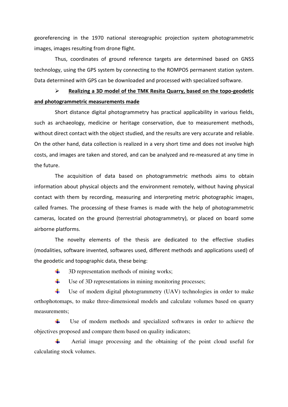georeferencing in the 1970 national stereographic projection system photogrammetric images, images resulting from drone flight.

Thus, coordinates of ground reference targets are determined based on GNSS technology, using the GPS system by connecting to the ROMPOS permanent station system. Data determined with GPS can be downloaded and processed with specialized software.

 **Realizing a 3D model of the TMK Resita Quarry, based on the topo-geodetic and photogrammetric measurements made** 

Short distance digital photogrammetry has practical applicability in various fields, such as archaeology, medicine or heritage conservation, due to measurement methods, without direct contact with the object studied, and the results are very accurate and reliable. On the other hand, data collection is realized in a very short time and does not involve high costs, and images are taken and stored, and can be analyzed and re-measured at any time in the future.

The acquisition of data based on photogrammetric methods aims to obtain information about physical objects and the environment remotely, without having physical contact with them by recording, measuring and interpreting metric photographic images, called frames. The processing of these frames is made with the help of photogrammetric cameras, located on the ground (terrestrial photogrammetry), or placed on board some airborne platforms.

The novelty elements of the thesis are dedicated to the effective studies (modalities, software invented, softwares used, different methods and applications used) of the geodetic and topographic data, these being:

- ÷. 3D representation methods of mining works;
- a ka Use of 3D representations in mining monitoring processes;

۰. Use of modern digital photogrammetry (UAV) technologies in order to make orthophotomaps, to make three-dimensional models and calculate volumes based on quarry measurements;

**.**  Use of modern methods and specialized softwares in order to achieve the objectives proposed and compare them based on quality indicators;

**.**  Aerial image processing and the obtaining of the point cloud useful for calculating stock volumes.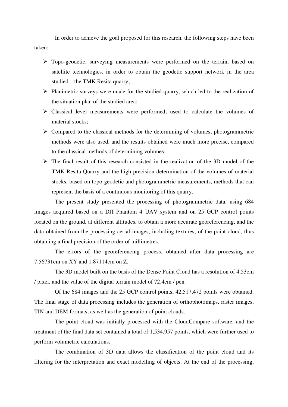In order to achieve the goal proposed for this research, the following steps have been taken:

- Topo-geodetic, surveying measurements were performed on the terrain, based on satellite technologies, in order to obtain the geodetic support network in the area studied – the TMK Resita quarry;
- $\triangleright$  Planimetric surveys were made for the studied quarry, which led to the realization of the situation plan of the studied area;
- Classical level measurements were performed, used to calculate the volumes of material stocks;
- $\triangleright$  Compared to the classical methods for the determining of volumes, photogrammetric methods were also used, and the results obtained were much more precise, compared to the classical methods of determining volumes;
- $\triangleright$  The final result of this research consisted in the realization of the 3D model of the TMK Resita Quarry and the high precision determination of the volumes of material stocks, based on topo-geodetic and photogrammetric measurements, methods that can represent the basis of a continuous monitoring of this quarry.

The present study presented the processing of photogrammetric data, using 684 images acquired based on a DJI Phantom 4 UAV system and on 25 GCP control points located on the ground, at different altitudes, to obtain a more accurate georeferencing, and the data obtained from the processing aerial images, including textures, of the point cloud, thus obtaining a final precision of the order of millimetres.

The errors of the georeferencing process, obtained after data processing are 7.56731cm on XY and 1.87114cm on Z.

The 3D model built on the basis of the Dense Point Cloud has a resolution of 4.53cm / pixel, and the value of the digital terrain model of 72.4cm / pen.

Of the 684 images and the 25 GCP control points, 42,517,472 points were obtained. The final stage of data processing includes the generation of orthophotomaps, raster images, TIN and DEM formats, as well as the generation of point clouds.

The point cloud was initially processed with the CloudCompare software, and the treatment of the final data set contained a total of 1,534,957 points, which were further used to perform volumetric calculations.

The combination of 3D data allows the classification of the point cloud and its filtering for the interpretation and exact modelling of objects. At the end of the processing,